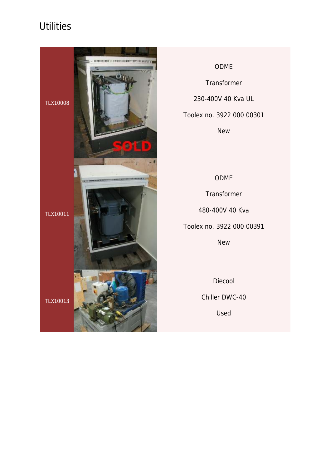

ODME **Transformer** 230-400V 40 Kva UL

Toolex no. 3922 000 00301

New

#### ODME

Transformer 480-400V 40 Kva Toolex no. 3922 000 00391

New

Diecool

Chiller DWC-40

Used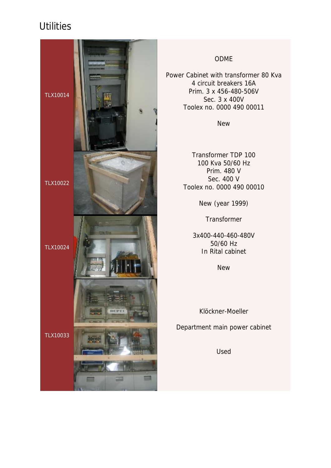

## ODME

Power Cabinet with transformer 80 Kva 4 circuit breakers 16A Prim. 3 x 456-480-506V Sec. 3 x 400V Toolex no. 0000 490 00011

New

Transformer TDP 100 100 Kva 50/60 Hz Prim. 480 V Sec. 400 V Toolex no. 0000 490 00010

New (year 1999)

**Transformer** 

3x400-440-460-480V 50/60 Hz In Rital cabinet

New

Klöckner-Moeller

Department main power cabinet

Used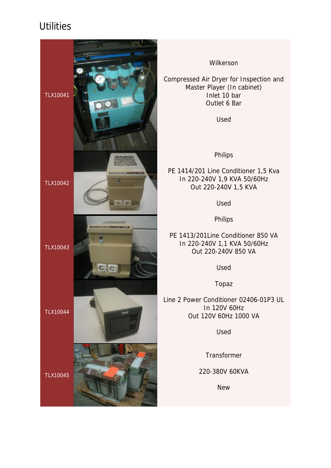

Wilkerson

Compressed Air Dryer for Inspection and Master Player (In cabinet) Inlet 10 bar Outlet 6 Bar

Used

Philips

PE 1414/201 Line Conditioner 1,5 Kva In 220-240V 1,9 KVA 50/60Hz Out 220-240V 1,5 KVA

Used

Philips

PE 1413/201Line Conditioner 850 VA In 220-240V 1,1 KVA 50/60Hz Out 220-240V 850 VA

Used

Topaz

Line 2 Power Conditioner 02406-01P3 UL In 120V 60Hz Out 120V 60Hz 1000 VA

Used

**Transformer** 

220-380V 60KVA

New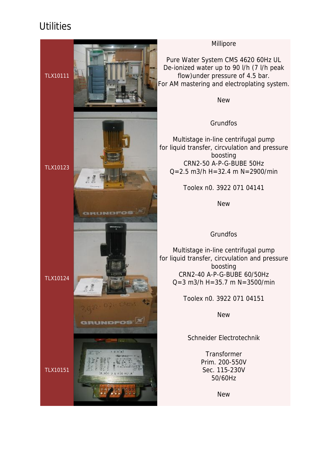

#### Millipore

Pure Water System CMS 4620 60Hz UL De-ionized water up to 90 l/h (7 l/h peak flow)under pressure of 4.5 bar. For AM mastering and electroplating system.

New

### Grundfos

Multistage in-line centrifugal pump for liquid transfer, circvulation and pressure boosting CRN2-50 A-P-G-BUBE 50Hz  $Q=2.5$  m3/h H=32.4 m N=2900/min

Toolex n0. 3922 071 04141

New

### **Grundfos**

Multistage in-line centrifugal pump for liquid transfer, circvulation and pressure boosting CRN2-40 A-P-G-BUBE 60/50Hz  $Q = 3$  m $3/h$  H =  $35.7$  m N =  $3500/m$ in

Toolex n0. 3922 071 04151

New

## Schneider Electrotechnik

**Transformer** Prim. 200-550V Sec. 115-230V 50/60Hz

New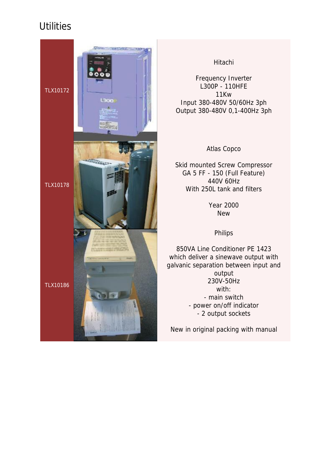

#### Hitachi

Frequency Inverter L300P - 110HFE 11Kw Input 380-480V 50/60Hz 3ph Output 380-480V 0,1-400Hz 3ph

Atlas Copco

Skid mounted Screw Compressor GA 5 FF - 150 (Full Feature) 440V 60Hz With 250L tank and filters

> Year 2000 New

> > Philips

850VA Line Conditioner PE 1423 which deliver a sinewave output with galvanic separation between input and output 230V-50Hz with: - main switch - power on/off indicator - 2 output sockets

New in original packing with manual